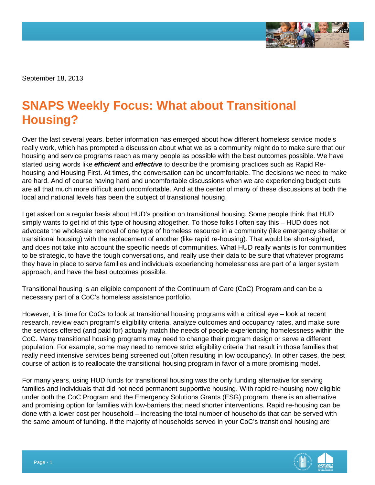

September 18, 2013

## **SNAPS Weekly Focus: What about Transitional Housing?**

Over the last several years, better information has emerged about how different homeless service models really work, which has prompted a discussion about what we as a community might do to make sure that our housing and service programs reach as many people as possible with the best outcomes possible. We have started using words like *efficient* and *effective* to describe the promising practices such as Rapid Rehousing and Housing First. At times, the conversation can be uncomfortable. The decisions we need to make are hard. And of course having hard and uncomfortable discussions when we are experiencing budget cuts are all that much more difficult and uncomfortable. And at the center of many of these discussions at both the local and national levels has been the subject of transitional housing.

I get asked on a regular basis about HUD's position on transitional housing. Some people think that HUD simply wants to get rid of this type of housing altogether. To those folks I often say this – HUD does not advocate the wholesale removal of one type of homeless resource in a community (like emergency shelter or transitional housing) with the replacement of another (like rapid re-housing). That would be short-sighted, and does not take into account the specific needs of communities. What HUD really wants is for communities to be strategic, to have the tough conversations, and really use their data to be sure that whatever programs they have in place to serve families and individuals experiencing homelessness are part of a larger system approach, and have the best outcomes possible.

Transitional housing is an eligible component of the Continuum of Care (CoC) Program and can be a necessary part of a CoC's homeless assistance portfolio.

However, it is time for CoCs to look at transitional housing programs with a critical eye – look at recent research, review each program's eligibility criteria, analyze outcomes and occupancy rates, and make sure the services offered (and paid for) actually match the needs of people experiencing homelessness within the CoC. Many transitional housing programs may need to change their program design or serve a different population. For example, some may need to remove strict eligibility criteria that result in those families that really need intensive services being screened out (often resulting in low occupancy). In other cases, the best course of action is to reallocate the transitional housing program in favor of a more promising model.

For many years, using HUD funds for transitional housing was the only funding alternative for serving families and individuals that did not need permanent supportive housing. With rapid re-housing now eligible under both the CoC Program and the Emergency Solutions Grants (ESG) program, there is an alternative and promising option for families with low-barriers that need shorter interventions. Rapid re-housing can be done with a lower cost per household – increasing the total number of households that can be served with the same amount of funding. If the majority of households served in your CoC's transitional housing are